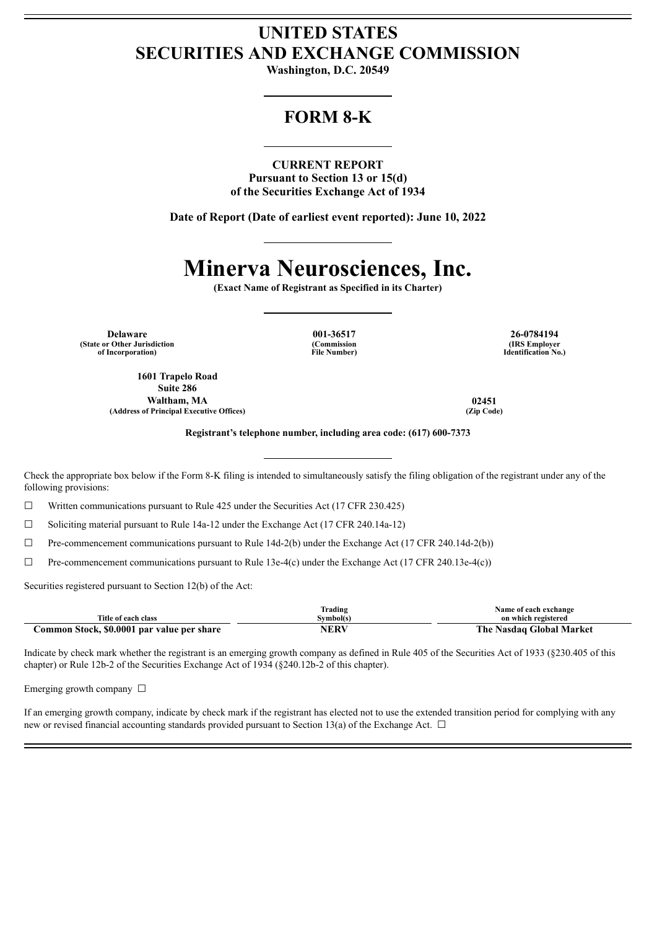## **UNITED STATES SECURITIES AND EXCHANGE COMMISSION**

**Washington, D.C. 20549**

## **FORM 8-K**

**CURRENT REPORT Pursuant to Section 13 or 15(d) of the Securities Exchange Act of 1934**

**Date of Report (Date of earliest event reported): June 10, 2022**

# **Minerva Neurosciences, Inc.**

**(Exact Name of Registrant as Specified in its Charter)**

**Delaware 001-36517 26-0784194 (State or Other Jurisdiction of Incorporation)**

**(Commission File Number)**

**(IRS Employer Identification No.)**

**1601 Trapelo Road Suite 286 Waltham, MA 02451 (Address of Principal Executive Offices) (Zip Code)**

**Registrant's telephone number, including area code: (617) 600-7373**

Check the appropriate box below if the Form 8-K filing is intended to simultaneously satisfy the filing obligation of the registrant under any of the following provisions:

 $\Box$  Written communications pursuant to Rule 425 under the Securities Act (17 CFR 230.425)

☐ Soliciting material pursuant to Rule 14a-12 under the Exchange Act (17 CFR 240.14a-12)

 $\Box$  Pre-commencement communications pursuant to Rule 14d-2(b) under the Exchange Act (17 CFR 240.14d-2(b))

 $\Box$  Pre-commencement communications pursuant to Rule 13e-4(c) under the Exchange Act (17 CFR 240.13e-4(c))

Securities registered pursuant to Section 12(b) of the Act:

|                                                 | trading   | Name of each exchange       |
|-------------------------------------------------|-----------|-----------------------------|
| Title of each class                             | svmbol(s) | on which registered         |
| Common Stock. \$0.0001<br>l par value per share | NF DA     | The<br>Nasdag Global Market |

Indicate by check mark whether the registrant is an emerging growth company as defined in Rule 405 of the Securities Act of 1933 (§230.405 of this chapter) or Rule 12b-2 of the Securities Exchange Act of 1934 (§240.12b-2 of this chapter).

Emerging growth company  $\Box$ 

If an emerging growth company, indicate by check mark if the registrant has elected not to use the extended transition period for complying with any new or revised financial accounting standards provided pursuant to Section 13(a) of the Exchange Act.  $\Box$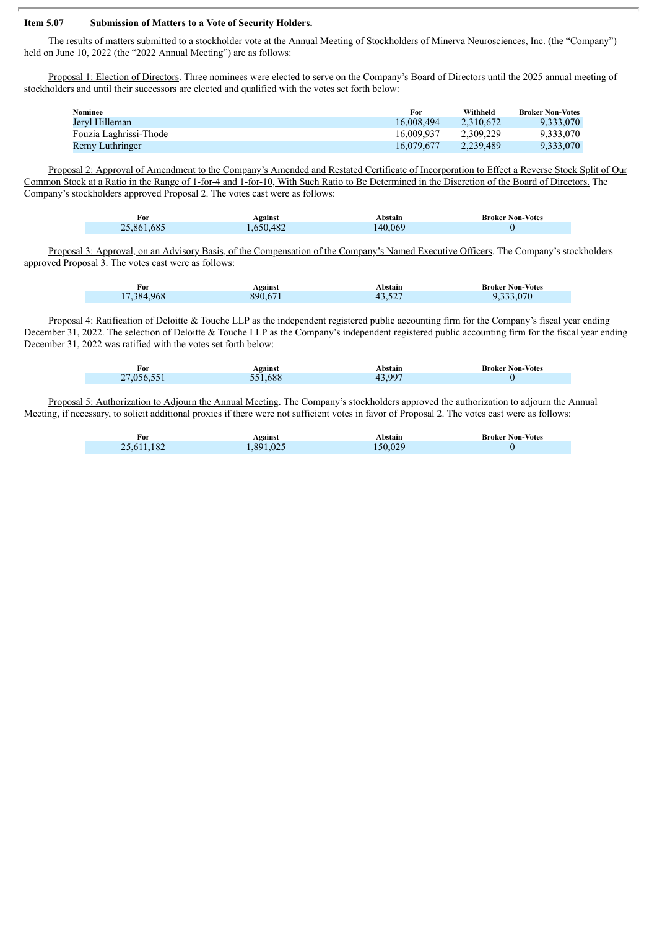#### **Item 5.07 Submission of Matters to a Vote of Security Holders.**

The results of matters submitted to a stockholder vote at the Annual Meeting of Stockholders of Minerva Neurosciences, Inc. (the "Company") held on June 10, 2022 (the "2022 Annual Meeting") are as follows:

Proposal 1: Election of Directors. Three nominees were elected to serve on the Company's Board of Directors until the 2025 annual meeting of stockholders and until their successors are elected and qualified with the votes set forth below:

| Nominee                | For        | Withheld  | <b>Broker Non-Votes</b> |
|------------------------|------------|-----------|-------------------------|
| Jervl Hilleman         | 16.008.494 | 2.310.672 | 9.333.070               |
| Fouzia Laghrissi-Thode | 16.009.937 | 2.309.229 | 9.333.070               |
| Remy Luthringer        | 16.079.677 | 2.239.489 | 9.333.070               |

Proposal 2: Approval of Amendment to the Company's Amended and Restated Certificate of Incorporation to Effect a Reverse Stock Split of Our Common Stock at a Ratio in the Range of 1-for-4 and 1-for-10, With Such Ratio to Be Determined in the Discretion of the Board of Directors. The Company's stockholders approved Proposal 2. The votes cast were as follows:

| For        | Against  | Abstain | <b>Broker Non-Votes</b> |
|------------|----------|---------|-------------------------|
| 25.861.685 | .650.482 | 40.069  |                         |

Proposal 3: Approval, on an Advisory Basis, of the Compensation of the Company's Named Executive Officers. The Company's stockholders approved Proposal 3. The votes cast were as follows:

| For        | Against | Abstain | <b>Broker Non-Votes</b> |
|------------|---------|---------|-------------------------|
| 17.384.968 | 890,67  | 43.527  | 9.333,070               |

Proposal 4: Ratification of Deloitte & Touche LLP as the independent registered public accounting firm for the Company's fiscal year ending December 31, 2022. The selection of Deloitte & Touche LLP as the Company's independent registered public accounting firm for the fiscal year ending December 31, 2022 was ratified with the votes set forth below:

| For        | Against | Abstain        | <b>Broker Non-Votes</b> |
|------------|---------|----------------|-------------------------|
| 27,056.551 | 551.688 | 43.997<br>エン・ノ |                         |

Proposal 5: Authorization to Adjourn the Annual Meeting. The Company's stockholders approved the authorization to adjourn the Annual Meeting, if necessary, to solicit additional proxies if there were not sufficient votes in favor of Proposal 2. The votes cast were as follows:

| For             | Against  | Abstain | <b>Broker Non-Votes</b> |
|-----------------|----------|---------|-------------------------|
| .182<br>25,611. | .891.025 | 50.029  |                         |